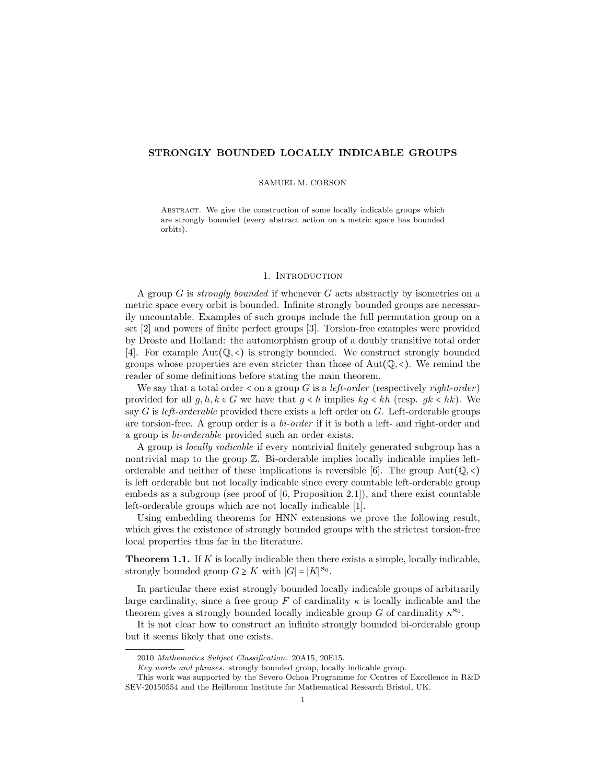## STRONGLY BOUNDED LOCALLY INDICABLE GROUPS

### SAMUEL M. CORSON

ABSTRACT. We give the construction of some locally indicable groups which are strongly bounded (every abstract action on a metric space has bounded orbits).

## 1. INTRODUCTION

A group  $G$  is *strongly bounded* if whenever  $G$  acts abstractly by isometries on a metric space every orbit is bounded. Infinite strongly bounded groups are necessarily uncountable. Examples of such groups include the full permutation group on a set [2] and powers of finite perfect groups [3]. Torsion-free examples were provided by Droste and Holland: the automorphism group of a doubly transitive total order [4]. For example  $Aut(Q, \langle)$  is strongly bounded. We construct strongly bounded groups whose properties are even stricter than those of  $Aut(Q, \langle \rangle)$ . We remind the reader of some definitions before stating the main theorem.

We say that a total order  $\lt$  on a group G is a *left-order* (respectively *right-order*) provided for all  $g, h, k \in G$  we have that  $g < h$  implies  $kg < kh$  (resp.  $gk < hk$ ). We say  $G$  is left-orderable provided there exists a left order on  $G$ . Left-orderable groups are torsion-free. A group order is a bi-order if it is both a left- and right-order and a group is bi-orderable provided such an order exists.

A group is locally indicable if every nontrivial finitely generated subgroup has a nontrivial map to the group  $\mathbb Z$ . Bi-orderable implies locally indicable implies leftorderable and neither of these implications is reversible [6]. The group  $Aut(Q, \langle)$ is left orderable but not locally indicable since every countable left-orderable group embeds as a subgroup (see proof of [6, Proposition 2.1]), and there exist countable left-orderable groups which are not locally indicable [1].

Using embedding theorems for HNN extensions we prove the following result, which gives the existence of strongly bounded groups with the strictest torsion-free local properties thus far in the literature.

**Theorem 1.1.** If  $K$  is locally indicable then there exists a simple, locally indicable, strongly bounded group  $G \geq K$  with  $|G| = |K|^{\aleph_0}$ .

In particular there exist strongly bounded locally indicable groups of arbitrarily large cardinality, since a free group F of cardinality  $\kappa$  is locally indicable and the theorem gives a strongly bounded locally indicable group G of cardinality  $\kappa^{\aleph_0}$ .

It is not clear how to construct an infinite strongly bounded bi-orderable group but it seems likely that one exists.

<sup>2010</sup> Mathematics Subject Classification. 20A15, 20E15.

Key words and phrases. strongly bounded group, locally indicable group.

This work was supported by the Severo Ochoa Programme for Centres of Excellence in R&D SEV-20150554 and the Heilbronn Institute for Mathematical Research Bristol, UK.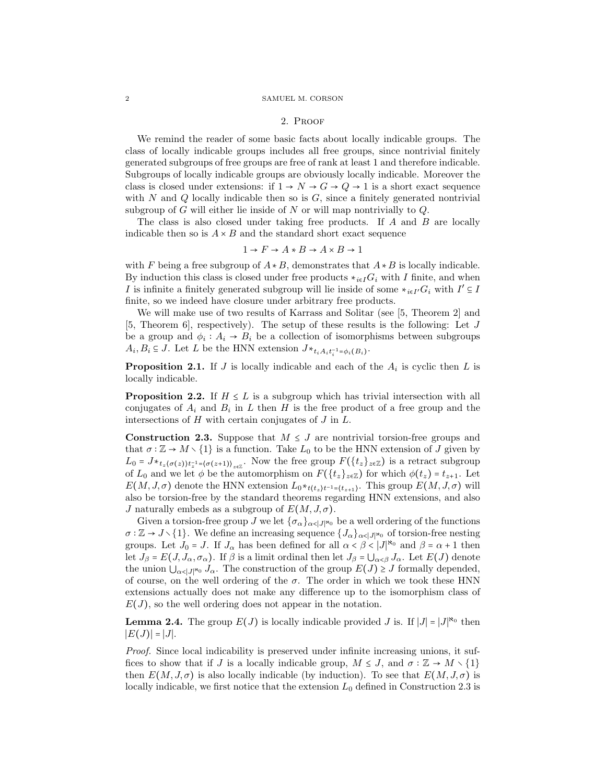#### 2 SAMUEL M. CORSON

### 2. Proof

We remind the reader of some basic facts about locally indicable groups. The class of locally indicable groups includes all free groups, since nontrivial finitely generated subgroups of free groups are free of rank at least 1 and therefore indicable. Subgroups of locally indicable groups are obviously locally indicable. Moreover the class is closed under extensions: if  $1 \rightarrow N \rightarrow G \rightarrow Q \rightarrow 1$  is a short exact sequence with N and Q locally indicable then so is  $G$ , since a finitely generated nontrivial subgroup of G will either lie inside of N or will map nontrivially to  $Q$ .

The class is also closed under taking free products. If  $A$  and  $B$  are locally indicable then so is  $A \times B$  and the standard short exact sequence

$$
1 \to F \to A \star B \to A \times B \to 1
$$

with F being a free subgroup of  $A * B$ , demonstrates that  $A * B$  is locally indicable. By induction this class is closed under free products  $*_{i\in I}G_i$  with I finite, and when *I* is infinite a finitely generated subgroup will lie inside of some  $*_{i \in I'} G_i$  with  $I' \subseteq I$ finite, so we indeed have closure under arbitrary free products.

We will make use of two results of Karrass and Solitar (see [5, Theorem 2] and [5, Theorem 6], respectively). The setup of these results is the following: Let J be a group and  $\phi_i : A_i \to B_i$  be a collection of isomorphisms between subgroups  $A_i, B_i \subseteq J$ . Let L be the HNN extension  $J *_{t_i A_i t_i^{-1} = \phi_i(B_i)}$ .

**Proposition 2.1.** If J is locally indicable and each of the  $A_i$  is cyclic then L is locally indicable.

**Proposition 2.2.** If  $H \leq L$  is a subgroup which has trivial intersection with all conjugates of  $A_i$  and  $B_i$  in L then H is the free product of a free group and the intersections of  $H$  with certain conjugates of  $J$  in  $L$ .

**Construction 2.3.** Suppose that  $M \leq J$  are nontrivial torsion-free groups and that  $\sigma : \mathbb{Z} \to M \setminus \{1\}$  is a function. Take  $L_0$  to be the HNN extension of J given by  $L_0 = J *_{t_z(\sigma(z))t_z^{-1} = (\sigma(z+1))_{z \in \mathbb{Z}}}$ . Now the free group  $F(\lbrace t_z \rbrace_{z \in \mathbb{Z}})$  is a retract subgroup of  $L_0$  and we let  $\phi$  be the automorphism on  $F({t_z}_{z\in\mathbb{Z}})$  for which  $\phi(t_z) = t_{z+1}$ . Let  $E(M, J, \sigma)$  denote the HNN extension  $L_0 *_{t(t_z)t^{-1}=(t_{z+1})}$ . This group  $E(M, J, \sigma)$  will also be torsion-free by the standard theorems regarding HNN extensions, and also J naturally embeds as a subgroup of  $E(M, J, \sigma)$ .

Given a torsion-free group J we let  $\{\sigma_\alpha\}_{\alpha \in J}$ ||<sup>s<sub>0</sub></sup> be a well ordering of the functions  $\sigma : \mathbb{Z} \to J \setminus \{1\}$ . We define an increasing sequence  $\{J_\alpha\}_{\alpha \leq |J|^{\aleph_0}}$  of torsion-free nesting groups. Let  $J_0 = J$ . If  $J_\alpha$  has been defined for all  $\alpha < \beta < |J|^{\aleph_0}$  and  $\beta = \alpha + 1$  then let  $J_\beta = E(J, J_\alpha, \sigma_\alpha)$ . If  $\beta$  is a limit ordinal then let  $J_\beta = \bigcup_{\alpha < \beta} J_\alpha$ . Let  $E(J)$  denote the union  $\bigcup_{\alpha<|J|^{\infty}} J_{\alpha}$ . The construction of the group  $E(J) \geq J$  formally depended, of course, on the well ordering of the  $\sigma$ . The order in which we took these HNN extensions actually does not make any difference up to the isomorphism class of  $E(J)$ , so the well ordering does not appear in the notation.

**Lemma 2.4.** The group  $E(J)$  is locally indicable provided J is. If  $|J| = |J|^{\aleph_0}$  then  $|E(J)| = |J|.$ 

Proof. Since local indicability is preserved under infinite increasing unions, it suffices to show that if J is a locally indicable group,  $M \leq J$ , and  $\sigma : \mathbb{Z} \to M \setminus \{1\}$ then  $E(M, J, \sigma)$  is also locally indicable (by induction). To see that  $E(M, J, \sigma)$  is locally indicable, we first notice that the extension  $L_0$  defined in Construction 2.3 is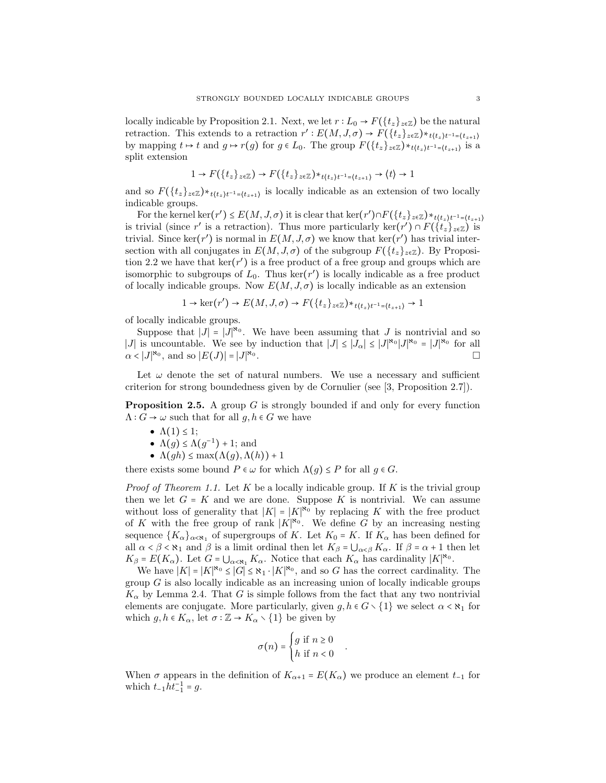locally indicable by Proposition 2.1. Next, we let  $r: L_0 \to F({t_z}_{z\in\mathbb{Z}})$  be the natural retraction. This extends to a retraction  $r': E(M, J, \sigma) \to F(\lbrace t_z \rbrace_{z \in \mathbb{Z}}) *_{t \lbrace t_z \rbrace t^{-1} = \lbrace t_{z+1} \rbrace}$ by mapping  $t \mapsto t$  and  $g \mapsto r(g)$  for  $g \in L_0$ . The group  $F(\lbrace t_z \rbrace_{z \in \mathbb{Z}}) *_{t \lbrace t_z \rbrace t^{-1} = \lbrace t_{z+1} \rbrace}$  is a split extension

$$
1 \to F(\lbrace t_z \rbrace_{z \in \mathbb{Z}}) \to F(\lbrace t_z \rbrace_{z \in \mathbb{Z}}) *_{t \langle t_z \rangle t^{-1} = \lbrace t_{z+1} \rbrace} \to \langle t \rangle \to 1
$$

and so  $F({t_z}_{z\in\mathbb{Z}}) *_{t(t_z)t^{-1}={t_z}_t}$  is locally indicable as an extension of two locally indicable groups.

For the kernel ker(r')  $\leq E(M, J, \sigma)$  it is clear that ker(r') $\cap F(\lbrace t_z \rbrace_{z \in \mathbb{Z}}) *_{t \lbrace t_z \rbrace t^{-1} = \lbrace t_{z+1} \rbrace}$ is trivial (since r' is a retraction). Thus more particularly ker $(r') \cap F(\{t_z\}_{z \in \mathbb{Z}})$  is trivial. Since ker(r') is normal in  $E(M, J, \sigma)$  we know that ker(r') has trivial intersection with all conjugates in  $E(M, J, \sigma)$  of the subgroup  $F({t_z}_{z \in \mathbb{Z}})$ . By Proposition 2.2 we have that  $\ker(r')$  is a free product of a free group and groups which are isomorphic to subgroups of  $L_0$ . Thus ker( $r'$ ) is locally indicable as a free product of locally indicable groups. Now  $E(M, J, \sigma)$  is locally indicable as an extension

$$
1 \to \ker(r') \to E(M, J, \sigma) \to F(\lbrace t_z \rbrace_{z \in \mathbb{Z}}) *_{t \lbrace t_z \rbrace t^{-1} = \lbrace t_{z+1} \rbrace} \to 1
$$

of locally indicable groups.

Suppose that  $|J| = |J|^{\aleph_0}$ . We have been assuming that J is nontrivial and so |J| is uncountable. We see by induction that  $|J| \leq |J_{\alpha}| \leq |J|^{\aleph_0} |J|^{\aleph_0} = |J|^{\aleph_0}$  for all  $\alpha < |J|^{\aleph_0}$ , and so  $|E(J)| = |J|^{\aleph_0}$ .

Let  $\omega$  denote the set of natural numbers. We use a necessary and sufficient criterion for strong boundedness given by de Cornulier (see [3, Proposition 2.7]).

**Proposition 2.5.** A group  $G$  is strongly bounded if and only for every function  $\Lambda: G \to \omega$  such that for all  $g, h \in G$  we have

- $\Lambda(1) \leq 1$ ;
- $\Lambda(g) \leq \Lambda(g^{-1}) + 1$ ; and
- $\Lambda(gh) \leq \max(\Lambda(g), \Lambda(h)) + 1$

there exists some bound  $P \in \omega$  for which  $\Lambda(q) \leq P$  for all  $q \in G$ .

*Proof of Theorem 1.1.* Let K be a locally indicable group. If K is the trivial group then we let  $G = K$  and we are done. Suppose K is nontrivial. We can assume without loss of generality that  $|K| = |K|^{\aleph_0}$  by replacing K with the free product of K with the free group of rank  $|K|^{k_0}$ . We define G by an increasing nesting sequence  ${K_{\alpha}}_{\alpha<\kappa_1}$  of supergroups of K. Let  $K_0 = K$ . If  $K_{\alpha}$  has been defined for all  $\alpha < \beta < \aleph_1$  and  $\beta$  is a limit ordinal then let  $K_\beta = \bigcup_{\alpha < \beta} K_\alpha$ . If  $\beta = \alpha + 1$  then let  $K_{\beta} = E(K_{\alpha})$ . Let  $G = \bigcup_{\alpha < \aleph_1} K_{\alpha}$ . Notice that each  $K_{\alpha}$  has cardinality  $|K|^{\aleph_0}$ .

We have  $|K| = |K|^{\aleph_0} \leq |G| \leq \aleph_1 \cdot |K|^{\aleph_0}$ , and so G has the correct cardinality. The group  $G$  is also locally indicable as an increasing union of locally indicable groups  $K_{\alpha}$  by Lemma 2.4. That G is simple follows from the fact that any two nontrivial elements are conjugate. More particularly, given  $g, h \in G \setminus \{1\}$  we select  $\alpha < \aleph_1$  for which  $g, h \in K_\alpha$ , let  $\sigma : \mathbb{Z} \to K_\alpha \setminus \{1\}$  be given by

$$
\sigma(n) = \begin{cases} g \text{ if } n \ge 0 \\ h \text{ if } n < 0 \end{cases}
$$

.

When  $\sigma$  appears in the definition of  $K_{\alpha+1} = E(K_{\alpha})$  we produce an element  $t_{-1}$  for which  $t_{-1}ht_{-1}^{-1} = g$ .